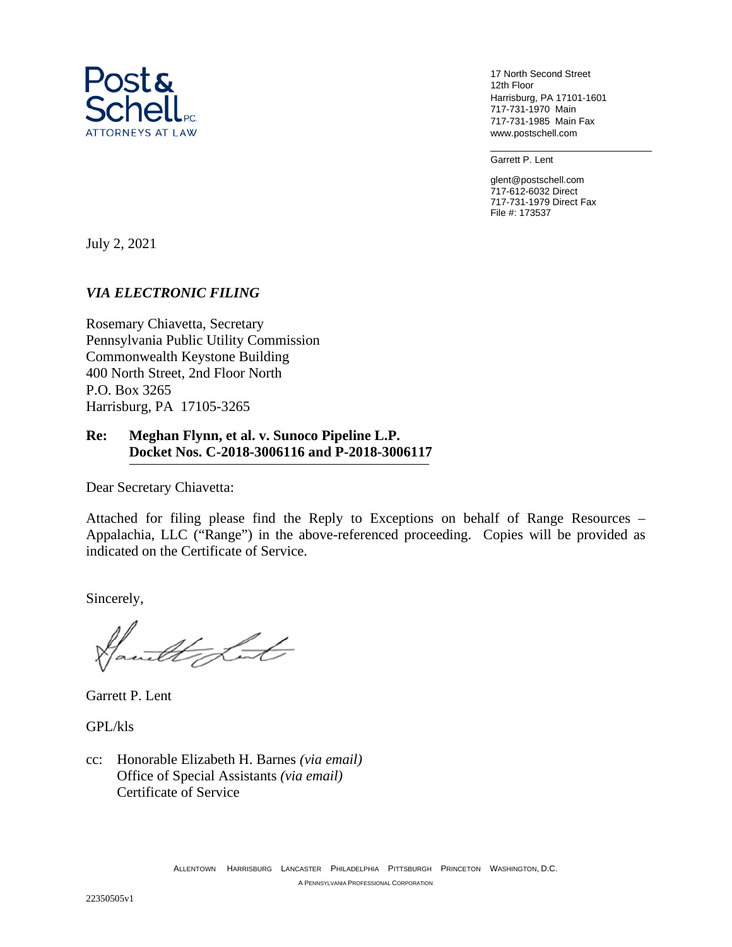

17 North Second Street 12th Floor Harrisburg, PA 17101-1601 717-731-1970 Main 717-731-1985 Main Fax www.postschell.com

Garrett P. Lent

glent@postschell.com 717-612-6032 Direct 717-731-1979 Direct Fax File #: 173537

July 2, 2021

## *VIA ELECTRONIC FILING*

Rosemary Chiavetta, Secretary Pennsylvania Public Utility Commission Commonwealth Keystone Building 400 North Street, 2nd Floor North P.O. Box 3265 Harrisburg, PA 17105-3265

## **Re: Meghan Flynn, et al. v. Sunoco Pipeline L.P. Docket Nos. C-2018-3006116 and P-2018-3006117**

Dear Secretary Chiavetta:

Attached for filing please find the Reply to Exceptions on behalf of Range Resources – Appalachia, LLC ("Range") in the above-referenced proceeding. Copies will be provided as indicated on the Certificate of Service.

Sincerely,

Mit

Garrett P. Lent

GPL/kls

cc: Honorable Elizabeth H. Barnes *(via email)* Office of Special Assistants *(via email)* Certificate of Service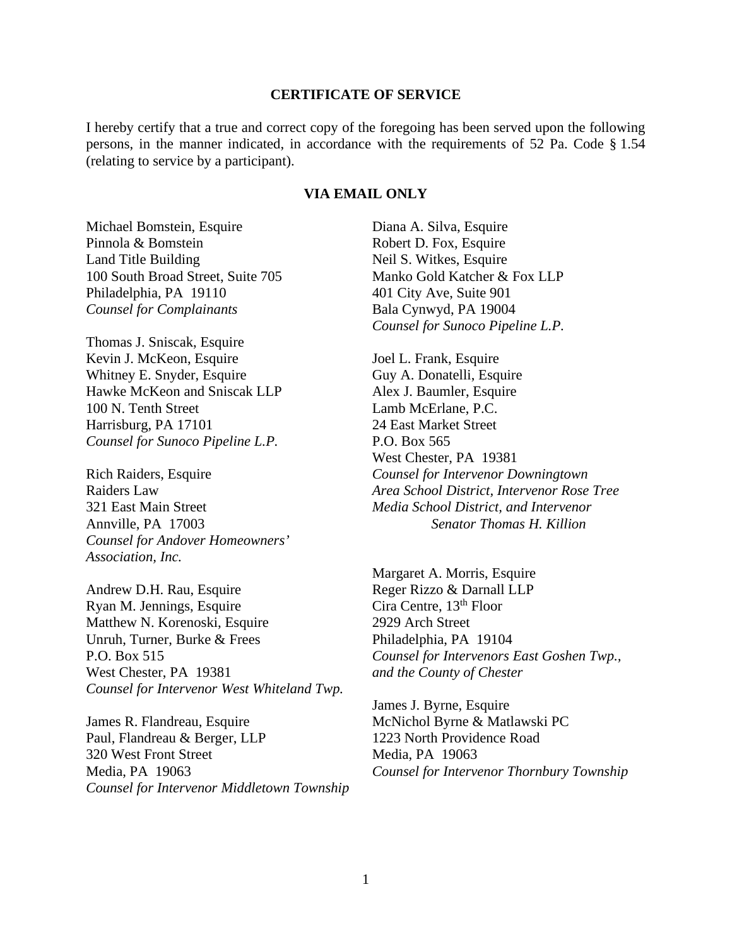#### **CERTIFICATE OF SERVICE**

I hereby certify that a true and correct copy of the foregoing has been served upon the following persons, in the manner indicated, in accordance with the requirements of 52 Pa. Code § 1.54 (relating to service by a participant).

### **VIA EMAIL ONLY**

Michael Bomstein, Esquire Pinnola & Bomstein Land Title Building 100 South Broad Street, Suite 705 Philadelphia, PA 19110 *Counsel for Complainants* 

Thomas J. Sniscak, Esquire Kevin J. McKeon, Esquire Whitney E. Snyder, Esquire Hawke McKeon and Sniscak LLP 100 N. Tenth Street Harrisburg, PA 17101 *Counsel for Sunoco Pipeline L.P.* 

Rich Raiders, Esquire Raiders Law 321 East Main Street Annville, PA 17003 *Counsel for Andover Homeowners' Association, Inc.*

Andrew D.H. Rau, Esquire Ryan M. Jennings, Esquire Matthew N. Korenoski, Esquire Unruh, Turner, Burke & Frees P.O. Box 515 West Chester, PA 19381 *Counsel for Intervenor West Whiteland Twp.*

James R. Flandreau, Esquire Paul, Flandreau & Berger, LLP 320 West Front Street Media, PA 19063 *Counsel for Intervenor Middletown Township* Diana A. Silva, Esquire Robert D. Fox, Esquire Neil S. Witkes, Esquire Manko Gold Katcher & Fox LLP 401 City Ave, Suite 901 Bala Cynwyd, PA 19004 *Counsel for Sunoco Pipeline L.P.* 

Joel L. Frank, Esquire Guy A. Donatelli, Esquire Alex J. Baumler, Esquire Lamb McErlane, P.C. 24 East Market Street P.O. Box 565 West Chester, PA 19381 *Counsel for Intervenor Downingtown Area School District, Intervenor Rose Tree Media School District, and Intervenor Senator Thomas H. Killion*

Margaret A. Morris, Esquire Reger Rizzo & Darnall LLP Cira Centre, 13th Floor 2929 Arch Street Philadelphia, PA 19104 *Counsel for Intervenors East Goshen Twp., and the County of Chester* 

James J. Byrne, Esquire McNichol Byrne & Matlawski PC 1223 North Providence Road Media, PA 19063 *Counsel for Intervenor Thornbury Township*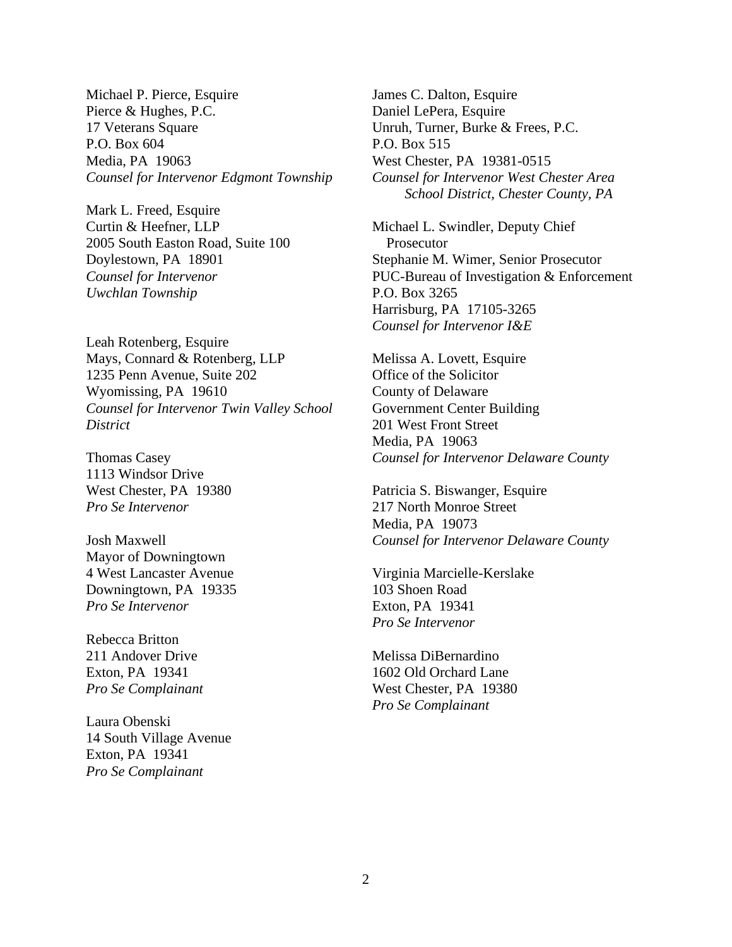Michael P. Pierce, Esquire Pierce & Hughes, P.C. 17 Veterans Square P.O. Box 604 Media, PA 19063 *Counsel for Intervenor Edgmont Township*

Mark L. Freed, Esquire Curtin & Heefner, LLP 2005 South Easton Road, Suite 100 Doylestown, PA 18901 *Counsel for Intervenor Uwchlan Township*

Leah Rotenberg, Esquire Mays, Connard & Rotenberg, LLP 1235 Penn Avenue, Suite 202 Wyomissing, PA 19610 *Counsel for Intervenor Twin Valley School District*

Thomas Casey 1113 Windsor Drive West Chester, PA 19380 *Pro Se Intervenor*

Josh Maxwell Mayor of Downingtown 4 West Lancaster Avenue Downingtown, PA 19335 *Pro Se Intervenor*

Rebecca Britton 211 Andover Drive Exton, PA 19341 *Pro Se Complainant*

Laura Obenski 14 South Village Avenue Exton, PA 19341 *Pro Se Complainant*

James C. Dalton, Esquire Daniel LePera, Esquire Unruh, Turner, Burke & Frees, P.C. P.O. Box 515 West Chester, PA 19381-0515 *Counsel for Intervenor West Chester Area School District, Chester County, PA*

Michael L. Swindler, Deputy Chief Prosecutor Stephanie M. Wimer, Senior Prosecutor PUC-Bureau of Investigation & Enforcement P.O. Box 3265 Harrisburg, PA 17105-3265 *Counsel for Intervenor I&E*

Melissa A. Lovett, Esquire Office of the Solicitor County of Delaware Government Center Building 201 West Front Street Media, PA 19063 *Counsel for Intervenor Delaware County*

Patricia S. Biswanger, Esquire 217 North Monroe Street Media, PA 19073 *Counsel for Intervenor Delaware County*

Virginia Marcielle-Kerslake 103 Shoen Road Exton, PA 19341 *Pro Se Intervenor* 

Melissa DiBernardino 1602 Old Orchard Lane West Chester, PA 19380 *Pro Se Complainant*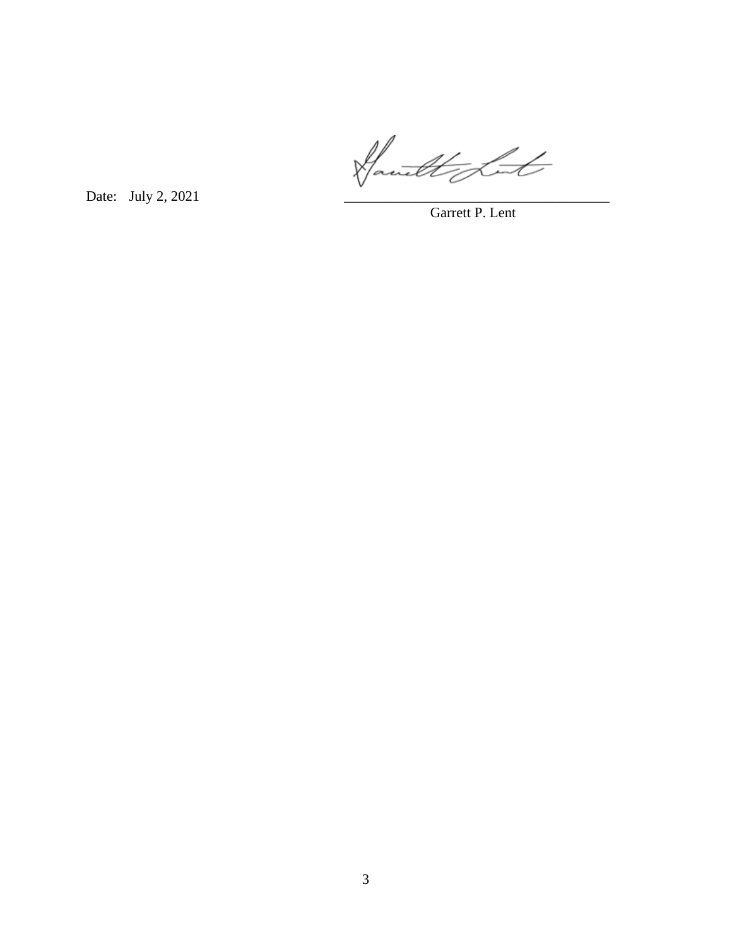Date: July 2, 2021

Garrett P. Lent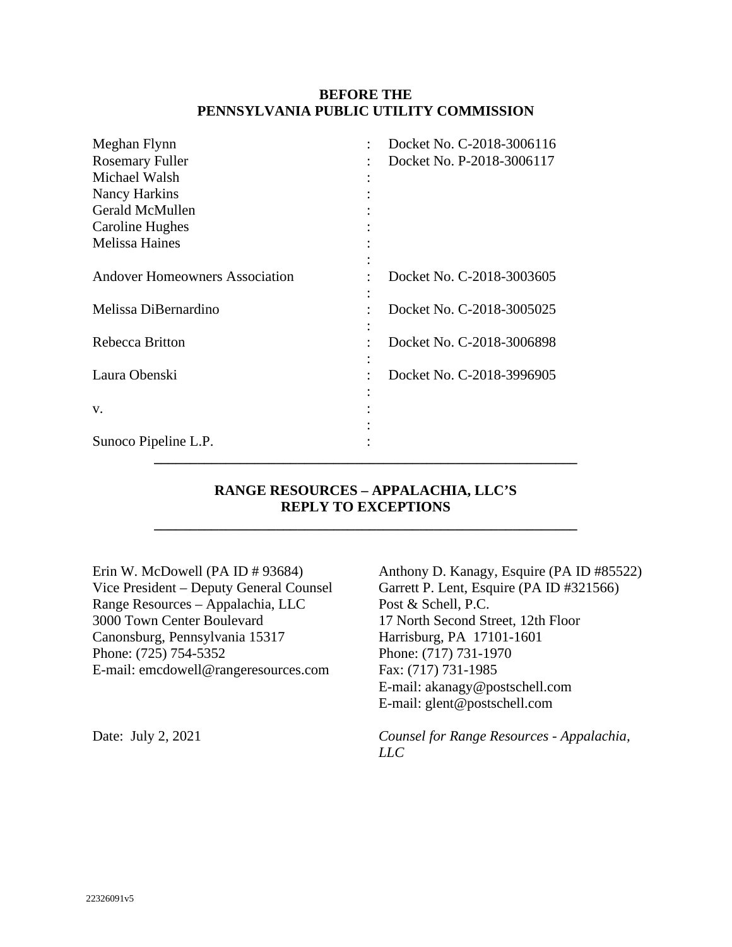## **BEFORE THE PENNSYLVANIA PUBLIC UTILITY COMMISSION**

| Meghan Flynn                          | Docket No. C-2018-3006116 |
|---------------------------------------|---------------------------|
| <b>Rosemary Fuller</b>                | Docket No. P-2018-3006117 |
| Michael Walsh                         |                           |
| Nancy Harkins                         |                           |
| Gerald McMullen                       |                           |
| Caroline Hughes                       |                           |
| <b>Melissa Haines</b>                 |                           |
|                                       |                           |
| <b>Andover Homeowners Association</b> | Docket No. C-2018-3003605 |
|                                       |                           |
| Melissa DiBernardino                  | Docket No. C-2018-3005025 |
|                                       |                           |
| Rebecca Britton                       | Docket No. C-2018-3006898 |
|                                       |                           |
| Laura Obenski                         | Docket No. C-2018-3996905 |
|                                       |                           |
| V.                                    |                           |
|                                       |                           |
| Sunoco Pipeline L.P.                  |                           |
|                                       |                           |

## **RANGE RESOURCES – APPALACHIA, LLC'S REPLY TO EXCEPTIONS**

**\_\_\_\_\_\_\_\_\_\_\_\_\_\_\_\_\_\_\_\_\_\_\_\_\_\_\_\_\_\_\_\_\_\_\_\_\_\_\_\_\_\_\_\_\_\_\_\_\_\_\_\_\_\_\_\_\_\_\_** 

Erin W. McDowell (PA ID # 93684) Vice President – Deputy General Counsel Range Resources – Appalachia, LLC 3000 Town Center Boulevard Canonsburg, Pennsylvania 15317 Phone: (725) 754-5352 E-mail: emcdowell@rangeresources.com

Anthony D. Kanagy, Esquire (PA ID #85522) Garrett P. Lent, Esquire (PA ID #321566) Post & Schell, P.C. 17 North Second Street, 12th Floor Harrisburg, PA 17101-1601 Phone: (717) 731-1970 Fax: (717) 731-1985 E-mail: akanagy@postschell.com E-mail: glent@postschell.com

Date: July 2, 2021 *Counsel for Range Resources - Appalachia, LLC*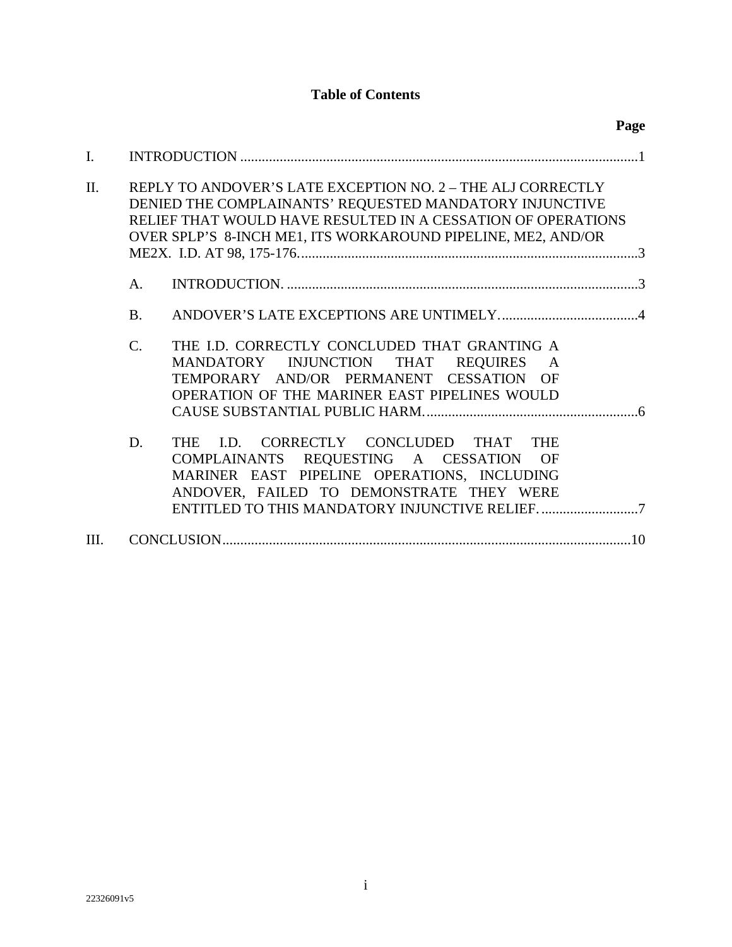# **Table of Contents**

|         |                 |                                                                                                                                                                                                                                                        | Page |
|---------|-----------------|--------------------------------------------------------------------------------------------------------------------------------------------------------------------------------------------------------------------------------------------------------|------|
| I.      |                 |                                                                                                                                                                                                                                                        |      |
| $\Pi$ . |                 | REPLY TO ANDOVER'S LATE EXCEPTION NO. 2 - THE ALJ CORRECTLY<br>DENIED THE COMPLAINANTS' REQUESTED MANDATORY INJUNCTIVE<br>RELIEF THAT WOULD HAVE RESULTED IN A CESSATION OF OPERATIONS<br>OVER SPLP'S 8-INCH ME1, ITS WORKAROUND PIPELINE, ME2, AND/OR |      |
|         | A.              |                                                                                                                                                                                                                                                        |      |
|         | <b>B.</b>       |                                                                                                                                                                                                                                                        |      |
|         | $\mathcal{C}$ . | THE I.D. CORRECTLY CONCLUDED THAT GRANTING A<br>MANDATORY INJUNCTION THAT REQUIRES<br>$\mathsf{A}$<br>TEMPORARY AND/OR PERMANENT CESSATION OF<br>OPERATION OF THE MARINER EAST PIPELINES WOULD                                                         |      |
|         | D.              | THE I.D. CORRECTLY CONCLUDED THAT<br><b>THE</b><br>COMPLAINANTS REQUESTING A CESSATION<br>OF<br>MARINER EAST PIPELINE OPERATIONS, INCLUDING<br>ANDOVER, FAILED TO DEMONSTRATE THEY WERE                                                                |      |
| III.    |                 |                                                                                                                                                                                                                                                        | .10  |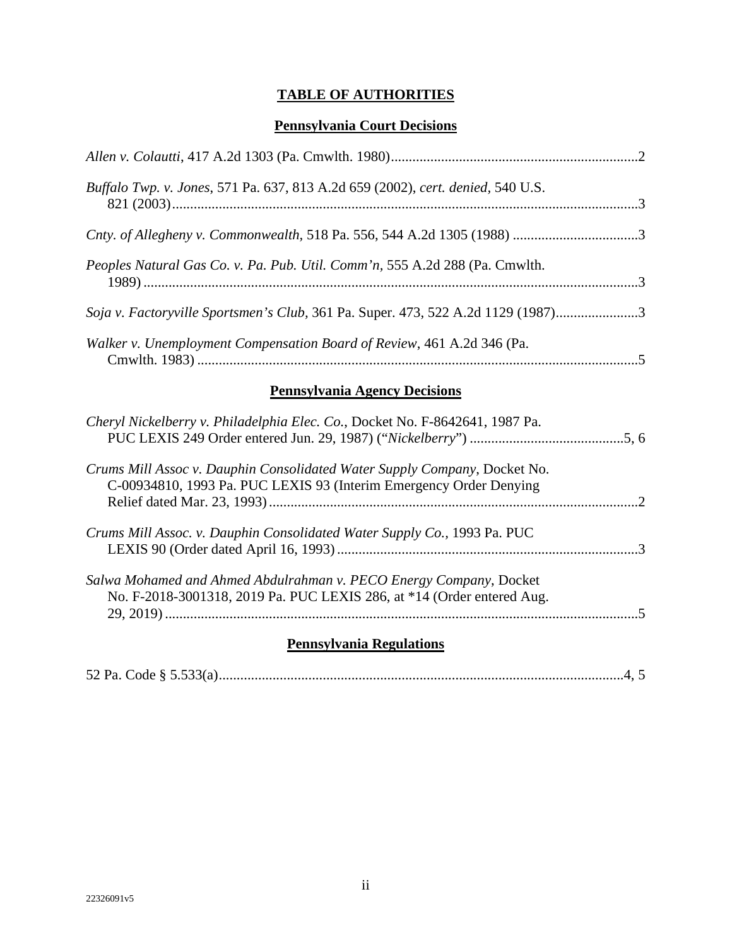# **TABLE OF AUTHORITIES**

## **Pennsylvania Court Decisions**

| Buffalo Twp. v. Jones, 571 Pa. 637, 813 A.2d 659 (2002), cert. denied, 540 U.S.                                                                 |
|-------------------------------------------------------------------------------------------------------------------------------------------------|
|                                                                                                                                                 |
| Peoples Natural Gas Co. v. Pa. Pub. Util. Comm'n, 555 A.2d 288 (Pa. Cmwlth.                                                                     |
| Soja v. Factoryville Sportsmen's Club, 361 Pa. Super. 473, 522 A.2d 1129 (1987)3                                                                |
| Walker v. Unemployment Compensation Board of Review, 461 A.2d 346 (Pa.                                                                          |
| <b>Pennsylvania Agency Decisions</b>                                                                                                            |
| Cheryl Nickelberry v. Philadelphia Elec. Co., Docket No. F-8642641, 1987 Pa.                                                                    |
| Crums Mill Assoc v. Dauphin Consolidated Water Supply Company, Docket No.<br>C-00934810, 1993 Pa. PUC LEXIS 93 (Interim Emergency Order Denying |
| Crums Mill Assoc. v. Dauphin Consolidated Water Supply Co., 1993 Pa. PUC                                                                        |
| Salwa Mohamed and Ahmed Abdulrahman v. PECO Energy Company, Docket<br>No. F-2018-3001318, 2019 Pa. PUC LEXIS 286, at *14 (Order entered Aug.    |

# **Pennsylvania Regulations**

29, 2019) ....................................................................................................................................5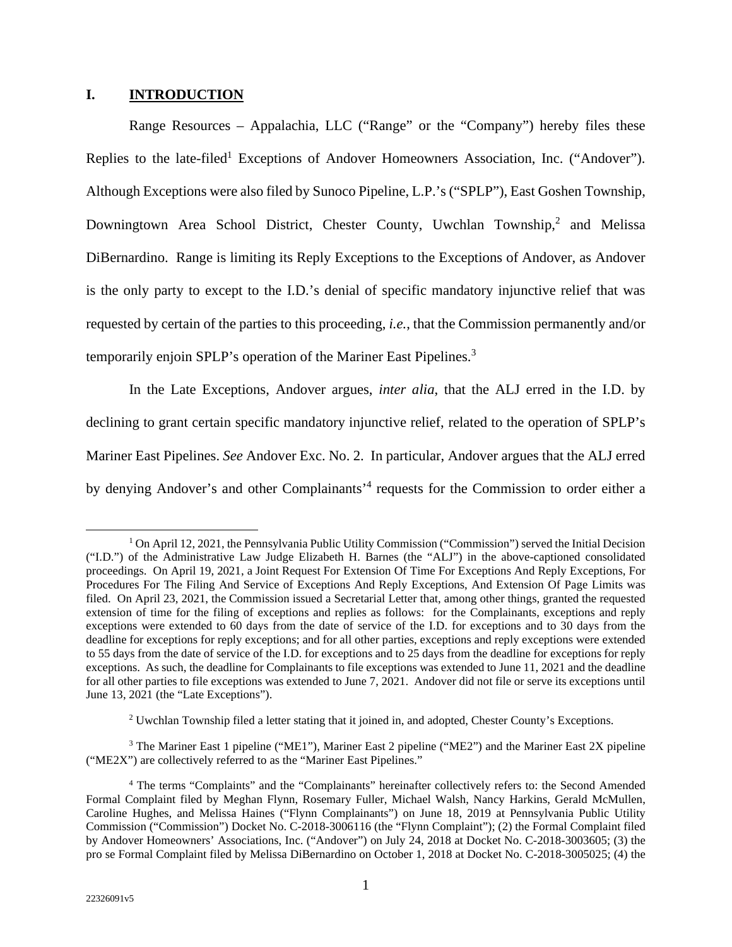### <span id="page-7-0"></span>**I. INTRODUCTION**

Range Resources – Appalachia, LLC ("Range" or the "Company") hereby files these Replies to the late-filed<sup>1</sup> Exceptions of Andover Homeowners Association, Inc. ("Andover"). Although Exceptions were also filed by Sunoco Pipeline, L.P.'s ("SPLP"), East Goshen Township, Downingtown Area School District, Chester County, Uwchlan Township,<sup>2</sup> and Melissa DiBernardino. Range is limiting its Reply Exceptions to the Exceptions of Andover, as Andover is the only party to except to the I.D.'s denial of specific mandatory injunctive relief that was requested by certain of the parties to this proceeding, *i.e.*, that the Commission permanently and/or temporarily enjoin SPLP's operation of the Mariner East Pipelines.<sup>3</sup>

In the Late Exceptions, Andover argues, *inter alia*, that the ALJ erred in the I.D. by declining to grant certain specific mandatory injunctive relief, related to the operation of SPLP's Mariner East Pipelines. *See* Andover Exc. No. 2. In particular, Andover argues that the ALJ erred by denying Andover's and other Complainants<sup>'4</sup> requests for the Commission to order either a

<sup>3</sup> The Mariner East 1 pipeline ("ME1"), Mariner East 2 pipeline ("ME2") and the Mariner East 2X pipeline ("ME2X") are collectively referred to as the "Mariner East Pipelines."

<sup>&</sup>lt;sup>1</sup> On April 12, 2021, the Pennsylvania Public Utility Commission ("Commission") served the Initial Decision ("I.D.") of the Administrative Law Judge Elizabeth H. Barnes (the "ALJ") in the above-captioned consolidated proceedings. On April 19, 2021, a Joint Request For Extension Of Time For Exceptions And Reply Exceptions, For Procedures For The Filing And Service of Exceptions And Reply Exceptions, And Extension Of Page Limits was filed. On April 23, 2021, the Commission issued a Secretarial Letter that, among other things, granted the requested extension of time for the filing of exceptions and replies as follows: for the Complainants, exceptions and reply exceptions were extended to 60 days from the date of service of the I.D. for exceptions and to 30 days from the deadline for exceptions for reply exceptions; and for all other parties, exceptions and reply exceptions were extended to 55 days from the date of service of the I.D. for exceptions and to 25 days from the deadline for exceptions for reply exceptions. As such, the deadline for Complainants to file exceptions was extended to June 11, 2021 and the deadline for all other parties to file exceptions was extended to June 7, 2021. Andover did not file or serve its exceptions until June 13, 2021 (the "Late Exceptions").

<sup>&</sup>lt;sup>2</sup> Uwchlan Township filed a letter stating that it joined in, and adopted, Chester County's Exceptions.

<sup>&</sup>lt;sup>4</sup> The terms "Complaints" and the "Complainants" hereinafter collectively refers to: the Second Amended Formal Complaint filed by Meghan Flynn, Rosemary Fuller, Michael Walsh, Nancy Harkins, Gerald McMullen, Caroline Hughes, and Melissa Haines ("Flynn Complainants") on June 18, 2019 at Pennsylvania Public Utility Commission ("Commission") Docket No. C-2018-3006116 (the "Flynn Complaint"); (2) the Formal Complaint filed by Andover Homeowners' Associations, Inc. ("Andover") on July 24, 2018 at Docket No. C-2018-3003605; (3) the pro se Formal Complaint filed by Melissa DiBernardino on October 1, 2018 at Docket No. C-2018-3005025; (4) the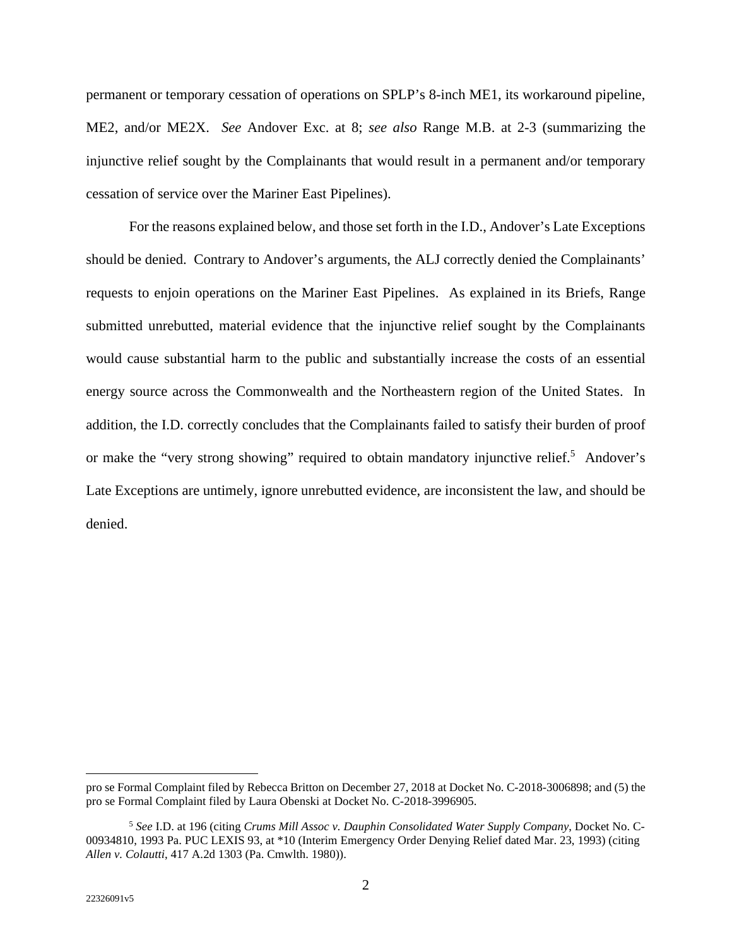permanent or temporary cessation of operations on SPLP's 8-inch ME1, its workaround pipeline, ME2, and/or ME2X. *See* Andover Exc. at 8; *see also* Range M.B. at 2-3 (summarizing the injunctive relief sought by the Complainants that would result in a permanent and/or temporary cessation of service over the Mariner East Pipelines).

For the reasons explained below, and those set forth in the I.D., Andover's Late Exceptions should be denied. Contrary to Andover's arguments, the ALJ correctly denied the Complainants' requests to enjoin operations on the Mariner East Pipelines. As explained in its Briefs, Range submitted unrebutted, material evidence that the injunctive relief sought by the Complainants would cause substantial harm to the public and substantially increase the costs of an essential energy source across the Commonwealth and the Northeastern region of the United States. In addition, the I.D. correctly concludes that the Complainants failed to satisfy their burden of proof or make the "very strong showing" required to obtain mandatory injunctive relief.<sup>5</sup> Andover's Late Exceptions are untimely, ignore unrebutted evidence, are inconsistent the law, and should be denied.

pro se Formal Complaint filed by Rebecca Britton on December 27, 2018 at Docket No. C-2018-3006898; and (5) the pro se Formal Complaint filed by Laura Obenski at Docket No. C-2018-3996905.

<sup>5</sup> *See* I.D. at 196 (citing *Crums Mill Assoc v. Dauphin Consolidated Water Supply Company*, Docket No. C-00934810, 1993 Pa. PUC LEXIS 93, at \*10 (Interim Emergency Order Denying Relief dated Mar. 23, 1993) (citing *Allen v. Colautti*, 417 A.2d 1303 (Pa. Cmwlth. 1980)).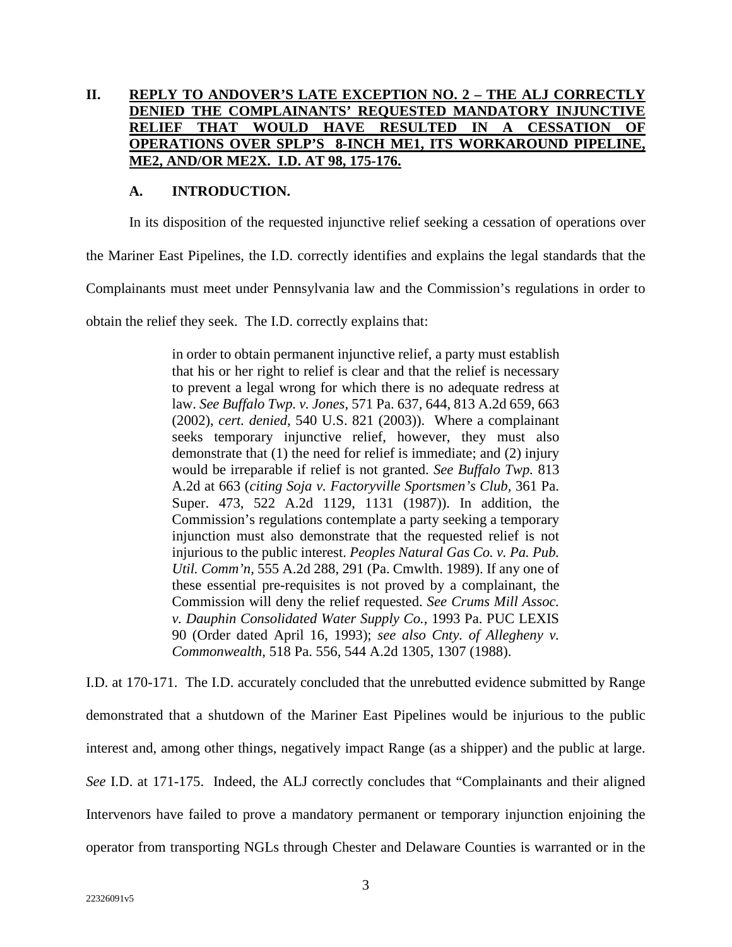## <span id="page-9-0"></span>**II. REPLY TO ANDOVER'S LATE EXCEPTION NO. 2 – THE ALJ CORRECTLY DENIED THE COMPLAINANTS' REQUESTED MANDATORY INJUNCTIVE RELIEF THAT WOULD HAVE RESULTED IN A CESSATION OF OPERATIONS OVER SPLP'S 8-INCH ME1, ITS WORKAROUND PIPELINE, ME2, AND/OR ME2X. I.D. AT 98, 175-176.**

### **A. INTRODUCTION.**

In its disposition of the requested injunctive relief seeking a cessation of operations over

the Mariner East Pipelines, the I.D. correctly identifies and explains the legal standards that the

Complainants must meet under Pennsylvania law and the Commission's regulations in order to

obtain the relief they seek. The I.D. correctly explains that:

in order to obtain permanent injunctive relief, a party must establish that his or her right to relief is clear and that the relief is necessary to prevent a legal wrong for which there is no adequate redress at law. *See Buffalo Twp. v. Jones*, 571 Pa. 637, 644, 813 A.2d 659, 663 (2002), *cert. denied,* 540 U.S. 821 (2003)). Where a complainant seeks temporary injunctive relief, however, they must also demonstrate that (1) the need for relief is immediate; and (2) injury would be irreparable if relief is not granted. *See Buffalo Twp.* 813 A.2d at 663 (*citing Soja v. Factoryville Sportsmen's Club,* 361 Pa. Super. 473, 522 A.2d 1129, 1131 (1987)). In addition, the Commission's regulations contemplate a party seeking a temporary injunction must also demonstrate that the requested relief is not injurious to the public interest. *Peoples Natural Gas Co. v. Pa. Pub. Util. Comm'n,* 555 A.2d 288, 291 (Pa. Cmwlth. 1989). If any one of these essential pre-requisites is not proved by a complainant, the Commission will deny the relief requested. *See Crums Mill Assoc. v. Dauphin Consolidated Water Supply Co.,* 1993 Pa. PUC LEXIS 90 (Order dated April 16, 1993); *see also Cnty. of Allegheny v. Commonwealth,* 518 Pa. 556, 544 A.2d 1305, 1307 (1988).

I.D. at 170-171. The I.D. accurately concluded that the unrebutted evidence submitted by Range demonstrated that a shutdown of the Mariner East Pipelines would be injurious to the public interest and, among other things, negatively impact Range (as a shipper) and the public at large. *See* I.D. at 171-175. Indeed, the ALJ correctly concludes that "Complainants and their aligned Intervenors have failed to prove a mandatory permanent or temporary injunction enjoining the operator from transporting NGLs through Chester and Delaware Counties is warranted or in the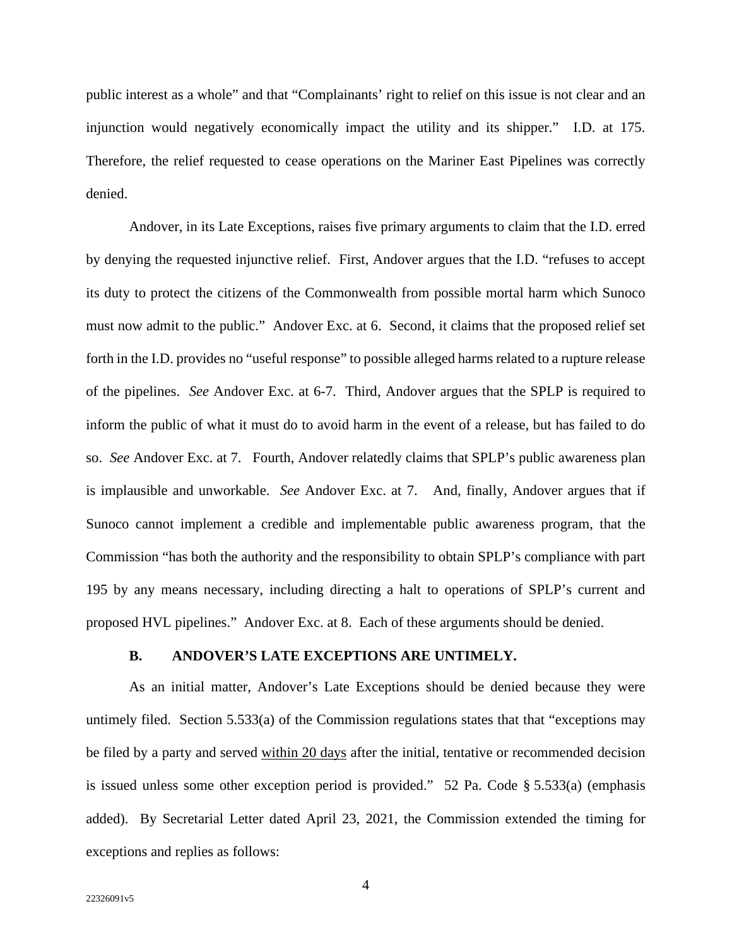<span id="page-10-0"></span>public interest as a whole" and that "Complainants' right to relief on this issue is not clear and an injunction would negatively economically impact the utility and its shipper." I.D. at 175. Therefore, the relief requested to cease operations on the Mariner East Pipelines was correctly denied.

Andover, in its Late Exceptions, raises five primary arguments to claim that the I.D. erred by denying the requested injunctive relief. First, Andover argues that the I.D. "refuses to accept its duty to protect the citizens of the Commonwealth from possible mortal harm which Sunoco must now admit to the public." Andover Exc. at 6. Second, it claims that the proposed relief set forth in the I.D. provides no "useful response" to possible alleged harms related to a rupture release of the pipelines. *See* Andover Exc. at 6-7. Third, Andover argues that the SPLP is required to inform the public of what it must do to avoid harm in the event of a release, but has failed to do so. *See* Andover Exc. at 7. Fourth, Andover relatedly claims that SPLP's public awareness plan is implausible and unworkable. *See* Andover Exc. at 7. And, finally, Andover argues that if Sunoco cannot implement a credible and implementable public awareness program, that the Commission "has both the authority and the responsibility to obtain SPLP's compliance with part 195 by any means necessary, including directing a halt to operations of SPLP's current and proposed HVL pipelines." Andover Exc. at 8. Each of these arguments should be denied.

#### **B. ANDOVER'S LATE EXCEPTIONS ARE UNTIMELY.**

As an initial matter, Andover's Late Exceptions should be denied because they were untimely filed. Section 5.533(a) of the Commission regulations states that that "exceptions may be filed by a party and served within 20 days after the initial, tentative or recommended decision is issued unless some other exception period is provided." 52 Pa. Code § 5.533(a) (emphasis added). By Secretarial Letter dated April 23, 2021, the Commission extended the timing for exceptions and replies as follows: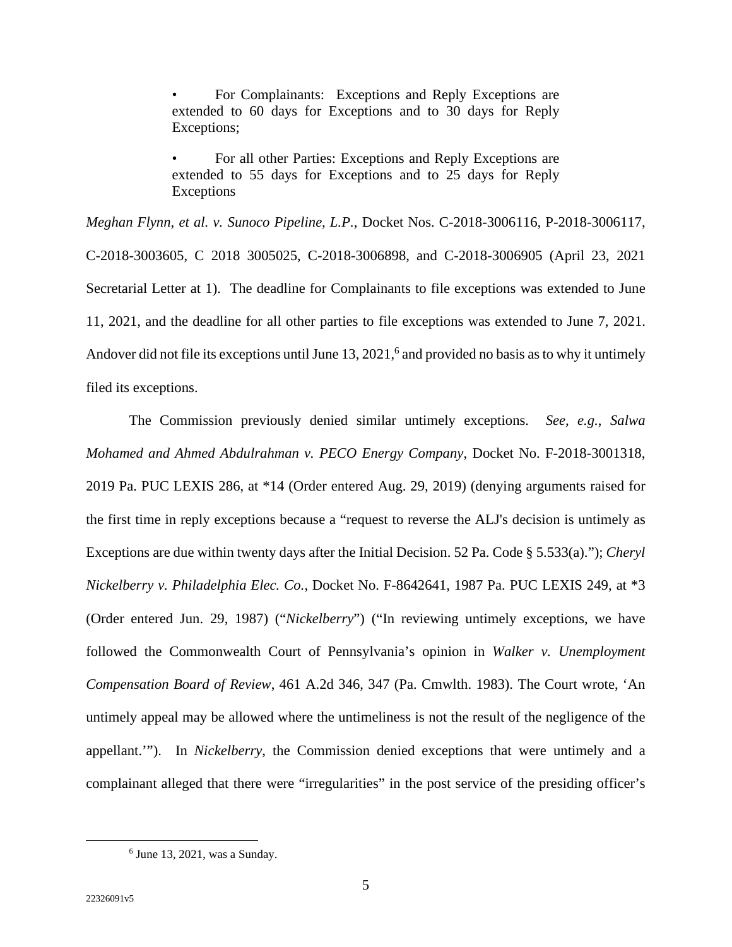• For Complainants: Exceptions and Reply Exceptions are extended to 60 days for Exceptions and to 30 days for Reply Exceptions;

• For all other Parties: Exceptions and Reply Exceptions are extended to 55 days for Exceptions and to 25 days for Reply Exceptions

*Meghan Flynn, et al. v. Sunoco Pipeline, L.P.*, Docket Nos. C-2018-3006116, P-2018-3006117, C-2018-3003605, C 2018 3005025, C-2018-3006898, and C-2018-3006905 (April 23, 2021 Secretarial Letter at 1). The deadline for Complainants to file exceptions was extended to June 11, 2021, and the deadline for all other parties to file exceptions was extended to June 7, 2021. Andover did not file its exceptions until June 13, 2021,<sup>6</sup> and provided no basis as to why it untimely filed its exceptions.

The Commission previously denied similar untimely exceptions. *See, e.g.*, *Salwa Mohamed and Ahmed Abdulrahman v. PECO Energy Company*, Docket No. F-2018-3001318, 2019 Pa. PUC LEXIS 286, at \*14 (Order entered Aug. 29, 2019) (denying arguments raised for the first time in reply exceptions because a "request to reverse the ALJ's decision is untimely as Exceptions are due within twenty days after the Initial Decision. 52 Pa. Code § 5.533(a)."); *Cheryl Nickelberry v. Philadelphia Elec. Co.*, Docket No. F-8642641, 1987 Pa. PUC LEXIS 249, at \*3 (Order entered Jun. 29, 1987) ("*Nickelberry*") ("In reviewing untimely exceptions, we have followed the Commonwealth Court of Pennsylvania's opinion in *Walker v. Unemployment Compensation Board of Review*, 461 A.2d 346, 347 (Pa. Cmwlth. 1983). The Court wrote, 'An untimely appeal may be allowed where the untimeliness is not the result of the negligence of the appellant.'"). In *Nickelberry*, the Commission denied exceptions that were untimely and a complainant alleged that there were "irregularities" in the post service of the presiding officer's

<sup>6</sup> June 13, 2021, was a Sunday.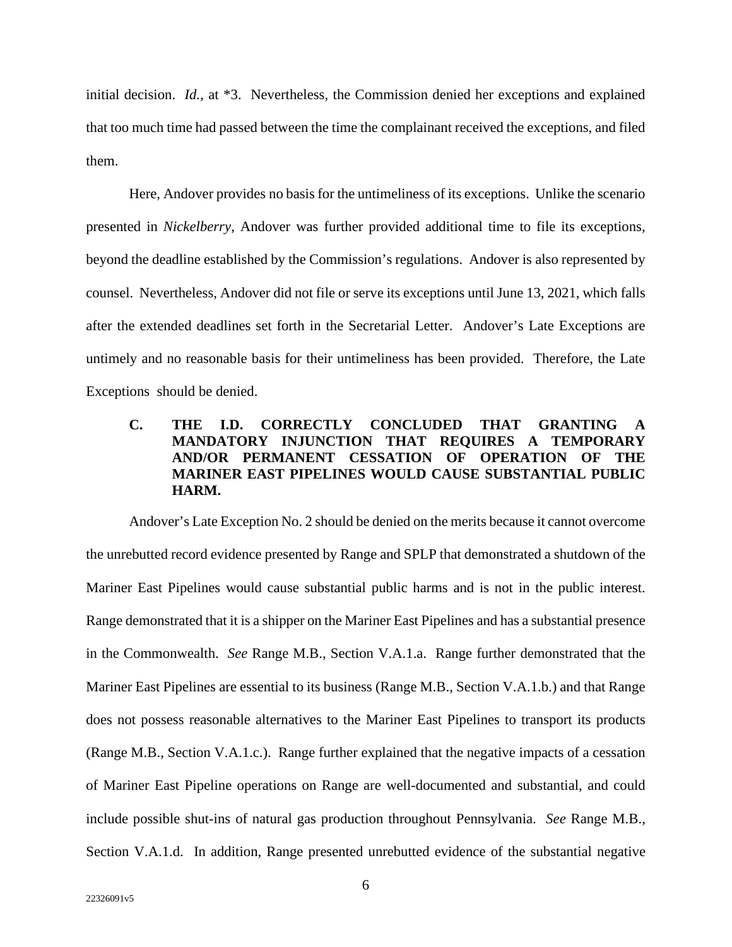<span id="page-12-0"></span>initial decision. *Id.*, at \*3. Nevertheless, the Commission denied her exceptions and explained that too much time had passed between the time the complainant received the exceptions, and filed them.

Here, Andover provides no basis for the untimeliness of its exceptions. Unlike the scenario presented in *Nickelberry*, Andover was further provided additional time to file its exceptions, beyond the deadline established by the Commission's regulations. Andover is also represented by counsel. Nevertheless, Andover did not file or serve its exceptions until June 13, 2021, which falls after the extended deadlines set forth in the Secretarial Letter. Andover's Late Exceptions are untimely and no reasonable basis for their untimeliness has been provided. Therefore, the Late Exceptions should be denied.

## **C. THE I.D. CORRECTLY CONCLUDED THAT GRANTING A MANDATORY INJUNCTION THAT REQUIRES A TEMPORARY AND/OR PERMANENT CESSATION OF OPERATION OF THE MARINER EAST PIPELINES WOULD CAUSE SUBSTANTIAL PUBLIC HARM.**

Andover's Late Exception No. 2 should be denied on the merits because it cannot overcome the unrebutted record evidence presented by Range and SPLP that demonstrated a shutdown of the Mariner East Pipelines would cause substantial public harms and is not in the public interest. Range demonstrated that it is a shipper on the Mariner East Pipelines and has a substantial presence in the Commonwealth. *See* Range M.B., Section V.A.1.a. Range further demonstrated that the Mariner East Pipelines are essential to its business (Range M.B., Section V.A.1.b.) and that Range does not possess reasonable alternatives to the Mariner East Pipelines to transport its products (Range M.B., Section V.A.1.c.). Range further explained that the negative impacts of a cessation of Mariner East Pipeline operations on Range are well-documented and substantial, and could include possible shut-ins of natural gas production throughout Pennsylvania. *See* Range M.B., Section V.A.1.d. In addition, Range presented unrebutted evidence of the substantial negative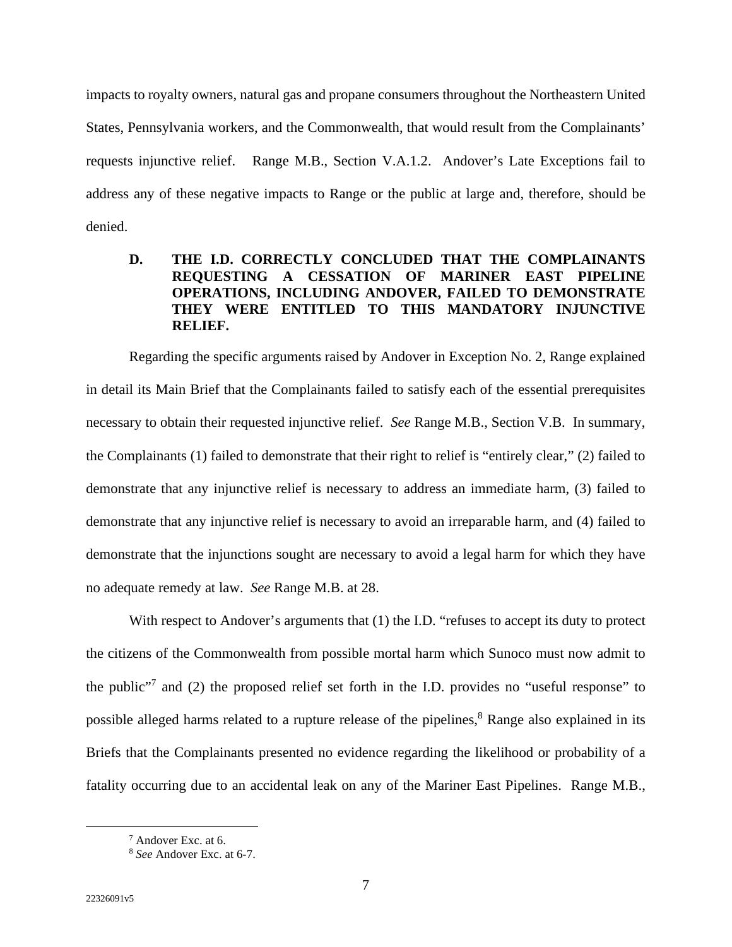<span id="page-13-0"></span>impacts to royalty owners, natural gas and propane consumers throughout the Northeastern United States, Pennsylvania workers, and the Commonwealth, that would result from the Complainants' requests injunctive relief. Range M.B., Section V.A.1.2. Andover's Late Exceptions fail to address any of these negative impacts to Range or the public at large and, therefore, should be denied.

## **D. THE I.D. CORRECTLY CONCLUDED THAT THE COMPLAINANTS REQUESTING A CESSATION OF MARINER EAST PIPELINE OPERATIONS, INCLUDING ANDOVER, FAILED TO DEMONSTRATE THEY WERE ENTITLED TO THIS MANDATORY INJUNCTIVE RELIEF.**

Regarding the specific arguments raised by Andover in Exception No. 2, Range explained in detail its Main Brief that the Complainants failed to satisfy each of the essential prerequisites necessary to obtain their requested injunctive relief. *See* Range M.B., Section V.B. In summary, the Complainants (1) failed to demonstrate that their right to relief is "entirely clear," (2) failed to demonstrate that any injunctive relief is necessary to address an immediate harm, (3) failed to demonstrate that any injunctive relief is necessary to avoid an irreparable harm, and (4) failed to demonstrate that the injunctions sought are necessary to avoid a legal harm for which they have no adequate remedy at law. *See* Range M.B. at 28.

With respect to Andover's arguments that (1) the I.D. "refuses to accept its duty to protect the citizens of the Commonwealth from possible mortal harm which Sunoco must now admit to the public<sup>"7</sup> and (2) the proposed relief set forth in the I.D. provides no "useful response" to possible alleged harms related to a rupture release of the pipelines,<sup>8</sup> Range also explained in its Briefs that the Complainants presented no evidence regarding the likelihood or probability of a fatality occurring due to an accidental leak on any of the Mariner East Pipelines. Range M.B.,

<sup>7</sup> Andover Exc. at 6.

<sup>8</sup> *See* Andover Exc. at 6-7.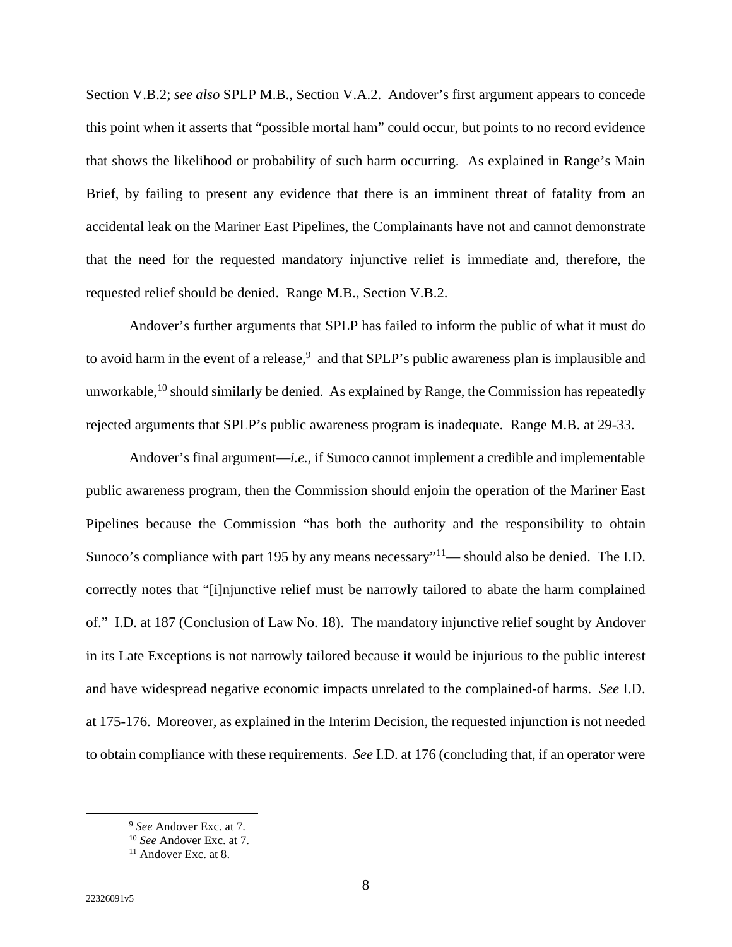Section V.B.2; *see also* SPLP M.B., Section V.A.2. Andover's first argument appears to concede this point when it asserts that "possible mortal ham" could occur, but points to no record evidence that shows the likelihood or probability of such harm occurring. As explained in Range's Main Brief, by failing to present any evidence that there is an imminent threat of fatality from an accidental leak on the Mariner East Pipelines, the Complainants have not and cannot demonstrate that the need for the requested mandatory injunctive relief is immediate and, therefore, the requested relief should be denied. Range M.B., Section V.B.2.

Andover's further arguments that SPLP has failed to inform the public of what it must do to avoid harm in the event of a release,  $9$  and that SPLP's public awareness plan is implausible and unworkable,  $^{10}$  should similarly be denied. As explained by Range, the Commission has repeatedly rejected arguments that SPLP's public awareness program is inadequate. Range M.B. at 29-33.

Andover's final argument—*i.e.*, if Sunoco cannot implement a credible and implementable public awareness program, then the Commission should enjoin the operation of the Mariner East Pipelines because the Commission "has both the authority and the responsibility to obtain Sunoco's compliance with part 195 by any means necessary"<sup>11</sup>— should also be denied. The I.D. correctly notes that "[i]njunctive relief must be narrowly tailored to abate the harm complained of." I.D. at 187 (Conclusion of Law No. 18). The mandatory injunctive relief sought by Andover in its Late Exceptions is not narrowly tailored because it would be injurious to the public interest and have widespread negative economic impacts unrelated to the complained-of harms. *See* I.D. at 175-176. Moreover, as explained in the Interim Decision, the requested injunction is not needed to obtain compliance with these requirements. *See* I.D. at 176 (concluding that, if an operator were

<sup>9</sup> *See* Andover Exc. at 7.

<sup>10</sup> *See* Andover Exc. at 7.

<sup>&</sup>lt;sup>11</sup> Andover Exc. at 8.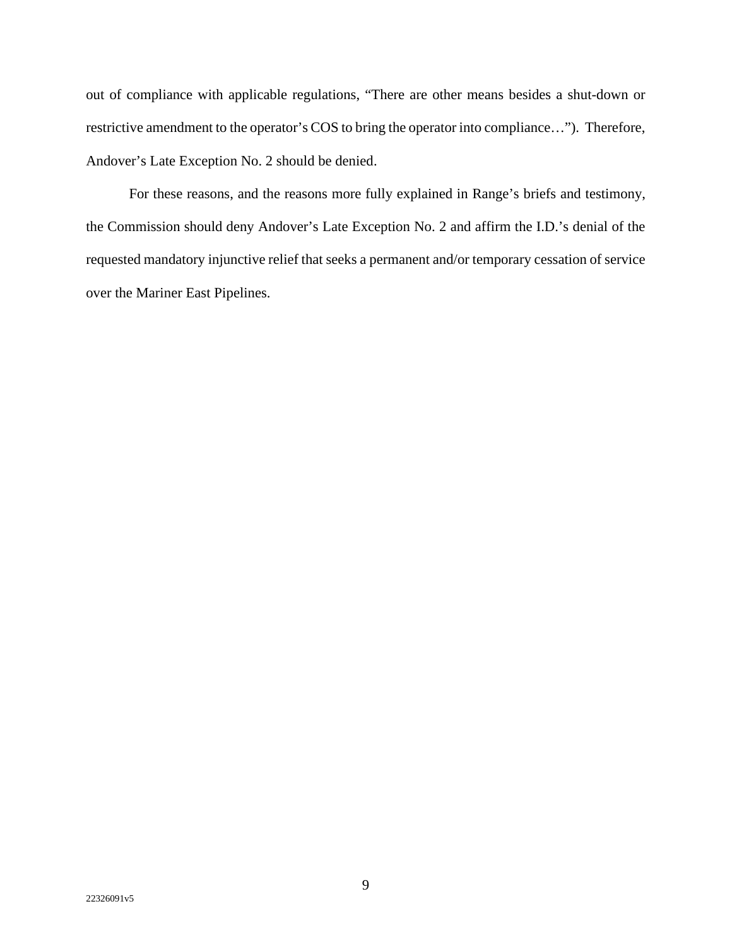out of compliance with applicable regulations, "There are other means besides a shut-down or restrictive amendment to the operator's COS to bring the operator into compliance…"). Therefore, Andover's Late Exception No. 2 should be denied.

For these reasons, and the reasons more fully explained in Range's briefs and testimony, the Commission should deny Andover's Late Exception No. 2 and affirm the I.D.'s denial of the requested mandatory injunctive relief that seeks a permanent and/or temporary cessation of service over the Mariner East Pipelines.